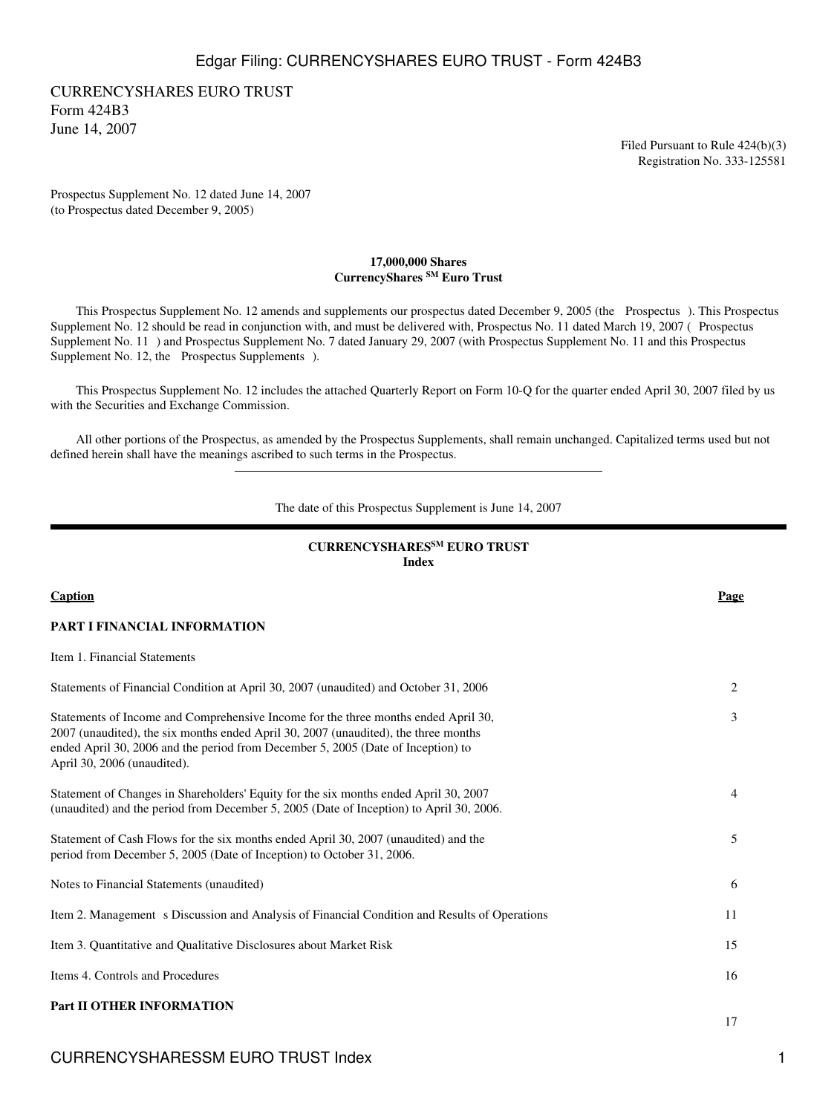CURRENCYSHARES EURO TRUST Form 424B3 June 14, 2007

> Filed Pursuant to Rule 424(b)(3) Registration No. 333-125581

Prospectus Supplement No. 12 dated June 14, 2007 (to Prospectus dated December 9, 2005)

#### **17,000,000 Shares CurrencyShares SM Euro Trust**

 This Prospectus Supplement No. 12 amends and supplements our prospectus dated December 9, 2005 (the Prospectus). This Prospectus Supplement No. 12 should be read in conjunction with, and must be delivered with, Prospectus No. 11 dated March 19, 2007 (Prospectus Supplement No. 11) and Prospectus Supplement No. 7 dated January 29, 2007 (with Prospectus Supplement No. 11 and this Prospectus Supplement No. 12, the Prospectus Supplements).

 This Prospectus Supplement No. 12 includes the attached Quarterly Report on Form 10-Q for the quarter ended April 30, 2007 filed by us with the Securities and Exchange Commission.

 All other portions of the Prospectus, as amended by the Prospectus Supplements, shall remain unchanged. Capitalized terms used but not defined herein shall have the meanings ascribed to such terms in the Prospectus.

The date of this Prospectus Supplement is June 14, 2007

## **CURRENCYSHARESSM EURO TRUST Index**

| Caption                                                                                                                                                                                                                                                                                      | Page |
|----------------------------------------------------------------------------------------------------------------------------------------------------------------------------------------------------------------------------------------------------------------------------------------------|------|
| PART I FINANCIAL INFORMATION                                                                                                                                                                                                                                                                 |      |
| Item 1. Financial Statements                                                                                                                                                                                                                                                                 |      |
| Statements of Financial Condition at April 30, 2007 (unaudited) and October 31, 2006                                                                                                                                                                                                         | 2    |
| Statements of Income and Comprehensive Income for the three months ended April 30,<br>2007 (unaudited), the six months ended April 30, 2007 (unaudited), the three months<br>ended April 30, 2006 and the period from December 5, 2005 (Date of Inception) to<br>April 30, 2006 (unaudited). | 3    |
| Statement of Changes in Shareholders' Equity for the six months ended April 30, 2007<br>(unaudited) and the period from December 5, 2005 (Date of Inception) to April 30, 2006.                                                                                                              | 4    |
| Statement of Cash Flows for the six months ended April 30, 2007 (unaudited) and the<br>period from December 5, 2005 (Date of Inception) to October 31, 2006.                                                                                                                                 | 5    |
| Notes to Financial Statements (unaudited)                                                                                                                                                                                                                                                    | 6    |
| Item 2. Management s Discussion and Analysis of Financial Condition and Results of Operations                                                                                                                                                                                                | 11   |
| Item 3. Quantitative and Qualitative Disclosures about Market Risk                                                                                                                                                                                                                           | 15   |
| Items 4. Controls and Procedures                                                                                                                                                                                                                                                             | 16   |
| <b>Part II OTHER INFORMATION</b>                                                                                                                                                                                                                                                             | 17   |

## CURRENCYSHARESSM EURO TRUST Index 1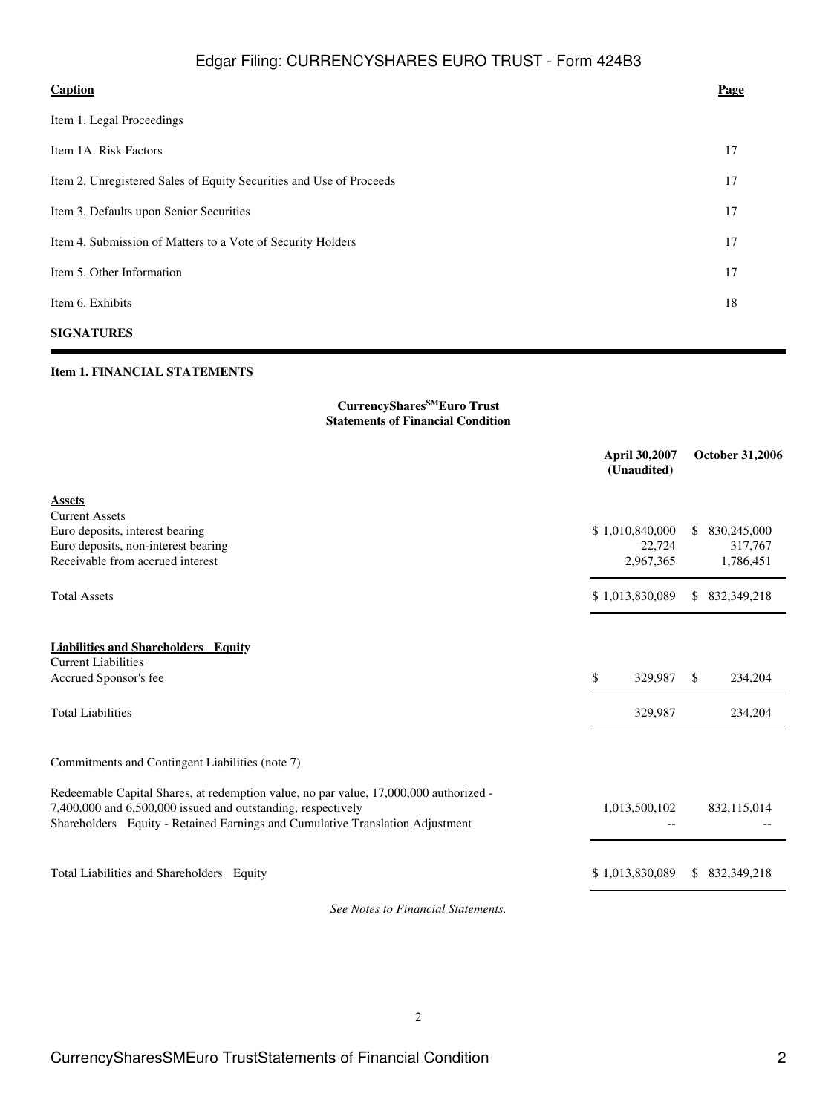| <b>Caption</b>                                                      | Page |
|---------------------------------------------------------------------|------|
| Item 1. Legal Proceedings                                           |      |
| Item 1A. Risk Factors                                               | 17   |
| Item 2. Unregistered Sales of Equity Securities and Use of Proceeds | 17   |
| Item 3. Defaults upon Senior Securities                             | 17   |
| Item 4. Submission of Matters to a Vote of Security Holders         | 17   |
| Item 5. Other Information                                           | 17   |
| Item 6. Exhibits                                                    | 18   |
|                                                                     |      |

# **SIGNATURES**

# **Item 1. FINANCIAL STATEMENTS**

## **CurrencySharesSMEuro Trust Statements of Financial Condition**

|                                                                                                                                                                                                                                        | April 30,2007<br>(Unaudited) | <b>October 31,2006</b>         |
|----------------------------------------------------------------------------------------------------------------------------------------------------------------------------------------------------------------------------------------|------------------------------|--------------------------------|
| <b>Assets</b>                                                                                                                                                                                                                          |                              |                                |
| <b>Current Assets</b>                                                                                                                                                                                                                  |                              |                                |
| Euro deposits, interest bearing<br>Euro deposits, non-interest bearing                                                                                                                                                                 | \$1,010,840,000<br>22,724    | 830,245,000<br>\$.<br>317,767  |
| Receivable from accrued interest                                                                                                                                                                                                       | 2,967,365                    | 1,786,451                      |
| <b>Total Assets</b>                                                                                                                                                                                                                    | \$1,013,830,089              | 832, 349, 218<br>\$.           |
| <b>Liabilities and Shareholders Equity</b>                                                                                                                                                                                             |                              |                                |
| <b>Current Liabilities</b>                                                                                                                                                                                                             |                              |                                |
| Accrued Sponsor's fee                                                                                                                                                                                                                  | \$<br>329,987                | \$.<br>234,204                 |
| <b>Total Liabilities</b>                                                                                                                                                                                                               | 329,987                      | 234,204                        |
| Commitments and Contingent Liabilities (note 7)                                                                                                                                                                                        |                              |                                |
| Redeemable Capital Shares, at redemption value, no par value, 17,000,000 authorized -<br>7,400,000 and 6,500,000 issued and outstanding, respectively<br>Shareholders Equity - Retained Earnings and Cumulative Translation Adjustment | 1,013,500,102                | 832,115,014                    |
| Total Liabilities and Shareholders Equity                                                                                                                                                                                              | \$1,013,830,089              | 832, 349, 218<br><sup>\$</sup> |

*See Notes to Financial Statements.*

2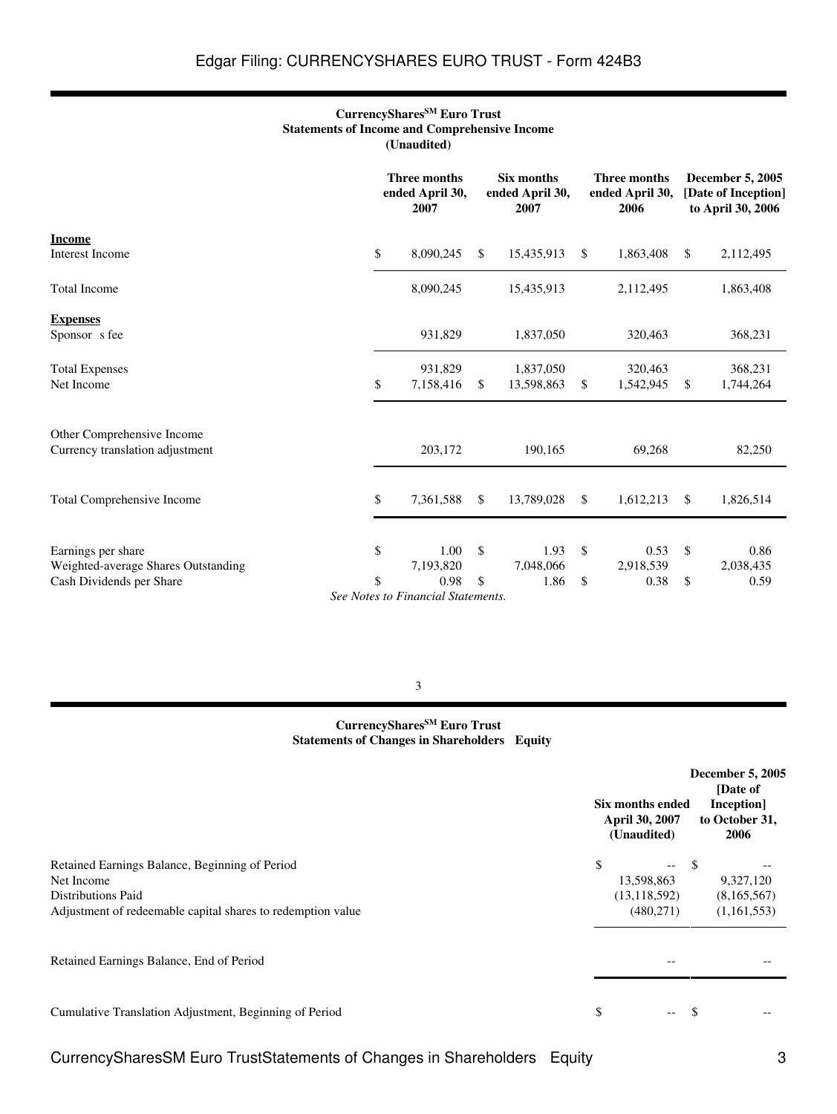### **CurrencySharesSM Euro Trust Statements of Income and Comprehensive Income (Unaudited)**

|                                                               |                                          | Three months<br>ended April 30,<br>2007                 |              | Six months<br>ended April 30,<br>2007 | Three months<br>ended April 30,<br>2006 |     | <b>December 5, 2005</b><br>[Date of Inception]<br>to April 30, 2006 |
|---------------------------------------------------------------|------------------------------------------|---------------------------------------------------------|--------------|---------------------------------------|-----------------------------------------|-----|---------------------------------------------------------------------|
| <b>Income</b><br><b>Interest Income</b>                       | \$                                       | 8,090,245                                               | \$           | 15,435,913                            | \$<br>1,863,408                         | \$. | 2,112,495                                                           |
| <b>Total Income</b>                                           |                                          | 8,090,245                                               |              | 15,435,913                            | 2,112,495                               |     | 1,863,408                                                           |
| <b>Expenses</b><br>Sponsor s fee                              |                                          | 931,829                                                 |              | 1,837,050                             | 320,463                                 |     | 368,231                                                             |
| <b>Total Expenses</b><br>Net Income                           | \$                                       | 931,829<br>7,158,416                                    | \$           | 1,837,050<br>13,598,863               | \$<br>320,463<br>1,542,945              | \$  | 368,231<br>1,744,264                                                |
| Other Comprehensive Income<br>Currency translation adjustment |                                          | 203,172                                                 |              | 190,165                               | 69,268                                  |     | 82,250                                                              |
| Total Comprehensive Income                                    | \$                                       | 7,361,588                                               | $\mathbb{S}$ | 13,789,028                            | \$<br>1,612,213                         | \$  | 1,826,514                                                           |
|                                                               |                                          |                                                         |              |                                       |                                         |     |                                                                     |
| Earnings per share<br>Weighted-average Shares Outstanding     | \$                                       | 1.00<br>7,193,820                                       | $\mathbb{S}$ | 1.93<br>7,048,066                     | \$<br>0.53<br>2,918,539                 | \$  | 0.86<br>2,038,435                                                   |
| Cash Dividends per Share                                      | \$<br>$\sigma$ $\mathbf{v}$ $\mathbf{v}$ | 0.98<br>$\mathbf{r}$<br>$\cdot$ $\cdot$ $\cdot$ $\cdot$ | \$           | 1.86                                  | \$<br>0.38                              | \$  | 0.59                                                                |

*See Notes to Financial Statements.*

## 3

# **CurrencySharesSM Euro Trust Statements of Changes in Shareholders Equity**

|                                                                                          | Six months ended<br>April 30, 2007<br>(Unaudited) |               | <b>December 5, 2005</b><br>[Date of<br>Inception]<br>to October 31,<br>2006 |
|------------------------------------------------------------------------------------------|---------------------------------------------------|---------------|-----------------------------------------------------------------------------|
| Retained Earnings Balance, Beginning of Period<br>Net Income                             | \$<br>$- -$<br>13,598,863                         | -S            | 9,327,120                                                                   |
| <b>Distributions Paid</b><br>Adjustment of redeemable capital shares to redemption value | (13, 118, 592)<br>(480,271)                       |               | (8,165,567)<br>(1,161,553)                                                  |
| Retained Earnings Balance, End of Period                                                 |                                                   |               |                                                                             |
| Cumulative Translation Adjustment, Beginning of Period                                   | \$<br>$--$                                        | <sup>\$</sup> |                                                                             |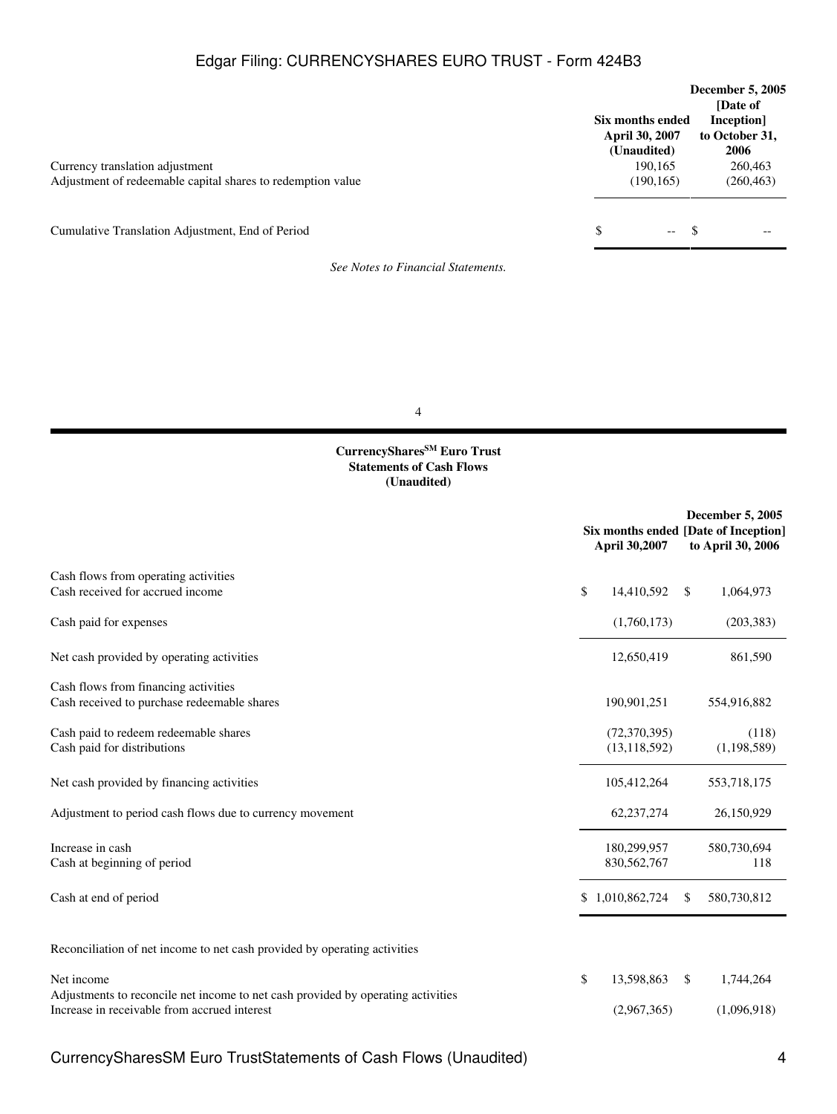| Currency translation adjustment<br>Adjustment of redeemable capital shares to redemption value |   | Six months ended<br><b>April 30, 2007</b><br>(Unaudited)<br>190,165<br>(190, 165) | <b>December 5, 2005</b><br>[Date of<br>Inception]<br>to October 31,<br>2006<br>260,463<br>(260, 463) |      |
|------------------------------------------------------------------------------------------------|---|-----------------------------------------------------------------------------------|------------------------------------------------------------------------------------------------------|------|
| Cumulative Translation Adjustment, End of Period                                               | S | $--$                                                                              | -S                                                                                                   | $ -$ |
| See Notes to Financial Statements.                                                             |   |                                                                                   |                                                                                                      |      |

4

#### **CurrencySharesSM Euro Trust Statements of Cash Flows (Unaudited)**

| April 30,2007                    | <b>December 5, 2005</b><br>Six months ended [Date of Inception]<br>to April 30, 2006 |
|----------------------------------|--------------------------------------------------------------------------------------|
| 14,410,592                       | 1,064,973<br><sup>\$</sup>                                                           |
| (1,760,173)                      | (203, 383)                                                                           |
| 12,650,419                       | 861,590                                                                              |
| 190,901,251                      | 554,916,882                                                                          |
| (72, 370, 395)<br>(13, 118, 592) | (118)<br>(1,198,589)                                                                 |
| 105,412,264                      | 553,718,175                                                                          |
| 62,237,274                       | 26,150,929                                                                           |
| 180,299,957<br>830, 562, 767     | 580,730,694<br>118                                                                   |
|                                  | 580,730,812<br>\$.                                                                   |
|                                  |                                                                                      |
| 13,598,863<br>(2,967,365)        | \$<br>1,744,264<br>(1,096,918)                                                       |
|                                  | \$<br>\$1,010,862,724<br>\$                                                          |

CurrencySharesSM Euro TrustStatements of Cash Flows (Unaudited) 4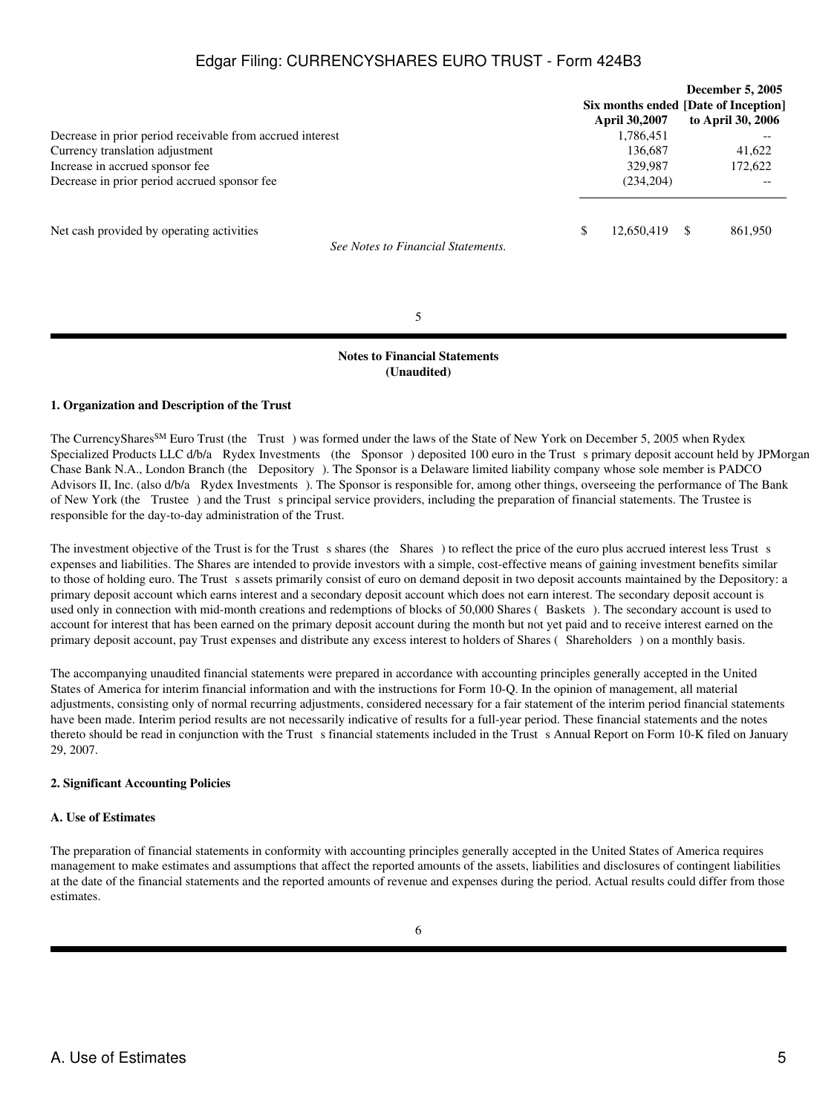|                                                                                 |                      | <b>December 5, 2005</b>              |
|---------------------------------------------------------------------------------|----------------------|--------------------------------------|
|                                                                                 |                      | Six months ended [Date of Inception] |
|                                                                                 | <b>April 30,2007</b> | to April 30, 2006                    |
| Decrease in prior period receivable from accrued interest                       | 1,786,451            |                                      |
| Currency translation adjustment                                                 | 136,687              | 41,622                               |
| Increase in accrued sponsor fee                                                 | 329,987              | 172,622                              |
| Decrease in prior period accrued sponsor fee                                    | (234, 204)           |                                      |
| Net cash provided by operating activities<br>See Notes to Financial Statements. | \$<br>12,650,419     | 861,950                              |
|                                                                                 |                      |                                      |

5

## **Notes to Financial Statements (Unaudited)**

### **1. Organization and Description of the Trust**

The CurrencyShares<sup>SM</sup> Euro Trust (the Trust) was formed under the laws of the State of New York on December 5, 2005 when Rydex Specialized Products LLC d/b/a Rydex Investments (the Sponsor) deposited 100 euro in the Trust s primary deposit account held by JPMorgan Chase Bank N.A., London Branch (the Depository). The Sponsor is a Delaware limited liability company whose sole member is PADCO Advisors II, Inc. (also d/b/a Rydex Investments). The Sponsor is responsible for, among other things, overseeing the performance of The Bank of New York (the Trustee) and the Trust s principal service providers, including the preparation of financial statements. The Trustee is responsible for the day-to-day administration of the Trust.

The investment objective of the Trust is for the Trust s shares (the Shares) to reflect the price of the euro plus accrued interest less Trust s expenses and liabilities. The Shares are intended to provide investors with a simple, cost-effective means of gaining investment benefits similar to those of holding euro. The Trust s assets primarily consist of euro on demand deposit in two deposit accounts maintained by the Depository: a primary deposit account which earns interest and a secondary deposit account which does not earn interest. The secondary deposit account is used only in connection with mid-month creations and redemptions of blocks of 50,000 Shares (Baskets). The secondary account is used to account for interest that has been earned on the primary deposit account during the month but not yet paid and to receive interest earned on the primary deposit account, pay Trust expenses and distribute any excess interest to holders of Shares (Shareholders) on a monthly basis.

The accompanying unaudited financial statements were prepared in accordance with accounting principles generally accepted in the United States of America for interim financial information and with the instructions for Form 10-Q. In the opinion of management, all material adjustments, consisting only of normal recurring adjustments, considered necessary for a fair statement of the interim period financial statements have been made. Interim period results are not necessarily indicative of results for a full-year period. These financial statements and the notes thereto should be read in conjunction with the Trust s financial statements included in the Trust s Annual Report on Form 10-K filed on January 29, 2007.

#### **2. Significant Accounting Policies**

#### **A. Use of Estimates**

The preparation of financial statements in conformity with accounting principles generally accepted in the United States of America requires management to make estimates and assumptions that affect the reported amounts of the assets, liabilities and disclosures of contingent liabilities at the date of the financial statements and the reported amounts of revenue and expenses during the period. Actual results could differ from those estimates.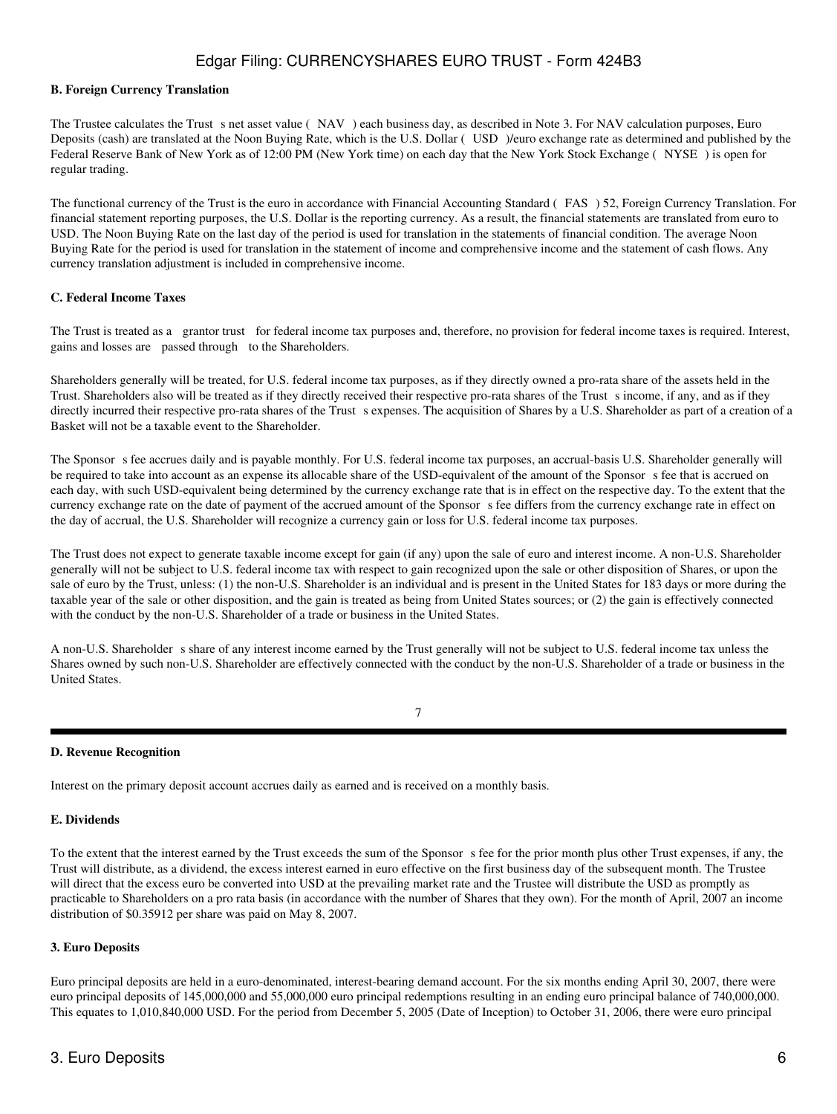### **B. Foreign Currency Translation**

The Trustee calculates the Trust s net asset value (NAV) each business day, as described in Note 3. For NAV calculation purposes, Euro Deposits (cash) are translated at the Noon Buying Rate, which is the U.S. Dollar (USD)/euro exchange rate as determined and published by the Federal Reserve Bank of New York as of 12:00 PM (New York time) on each day that the New York Stock Exchange (NYSE) is open for regular trading.

The functional currency of the Trust is the euro in accordance with Financial Accounting Standard (FAS) 52, Foreign Currency Translation. For financial statement reporting purposes, the U.S. Dollar is the reporting currency. As a result, the financial statements are translated from euro to USD. The Noon Buying Rate on the last day of the period is used for translation in the statements of financial condition. The average Noon Buying Rate for the period is used for translation in the statement of income and comprehensive income and the statement of cash flows. Any currency translation adjustment is included in comprehensive income.

#### **C. Federal Income Taxes**

The Trust is treated as a grantor trust for federal income tax purposes and, therefore, no provision for federal income taxes is required. Interest, gains and losses are passed through to the Shareholders.

Shareholders generally will be treated, for U.S. federal income tax purposes, as if they directly owned a pro-rata share of the assets held in the Trust. Shareholders also will be treated as if they directly received their respective pro-rata shares of the Trust sincome, if any, and as if they directly incurred their respective pro-rata shares of the Trust s expenses. The acquisition of Shares by a U.S. Shareholder as part of a creation of a Basket will not be a taxable event to the Shareholder.

The Sponsor s fee accrues daily and is payable monthly. For U.S. federal income tax purposes, an accrual-basis U.S. Shareholder generally will be required to take into account as an expense its allocable share of the USD-equivalent of the amount of the Sponsor s fee that is accrued on each day, with such USD-equivalent being determined by the currency exchange rate that is in effect on the respective day. To the extent that the currency exchange rate on the date of payment of the accrued amount of the Sponsors fee differs from the currency exchange rate in effect on the day of accrual, the U.S. Shareholder will recognize a currency gain or loss for U.S. federal income tax purposes.

The Trust does not expect to generate taxable income except for gain (if any) upon the sale of euro and interest income. A non-U.S. Shareholder generally will not be subject to U.S. federal income tax with respect to gain recognized upon the sale or other disposition of Shares, or upon the sale of euro by the Trust, unless: (1) the non-U.S. Shareholder is an individual and is present in the United States for 183 days or more during the taxable year of the sale or other disposition, and the gain is treated as being from United States sources; or (2) the gain is effectively connected with the conduct by the non-U.S. Shareholder of a trade or business in the United States.

A non-U.S. Shareholder s share of any interest income earned by the Trust generally will not be subject to U.S. federal income tax unless the Shares owned by such non-U.S. Shareholder are effectively connected with the conduct by the non-U.S. Shareholder of a trade or business in the United States.

7

## **D. Revenue Recognition**

Interest on the primary deposit account accrues daily as earned and is received on a monthly basis.

## **E. Dividends**

To the extent that the interest earned by the Trust exceeds the sum of the Sponsor s fee for the prior month plus other Trust expenses, if any, the Trust will distribute, as a dividend, the excess interest earned in euro effective on the first business day of the subsequent month. The Trustee will direct that the excess euro be converted into USD at the prevailing market rate and the Trustee will distribute the USD as promptly as practicable to Shareholders on a pro rata basis (in accordance with the number of Shares that they own). For the month of April, 2007 an income distribution of \$0.35912 per share was paid on May 8, 2007.

#### **3. Euro Deposits**

Euro principal deposits are held in a euro-denominated, interest-bearing demand account. For the six months ending April 30, 2007, there were euro principal deposits of 145,000,000 and 55,000,000 euro principal redemptions resulting in an ending euro principal balance of 740,000,000. This equates to 1,010,840,000 USD. For the period from December 5, 2005 (Date of Inception) to October 31, 2006, there were euro principal

# 3. Euro Deposits 6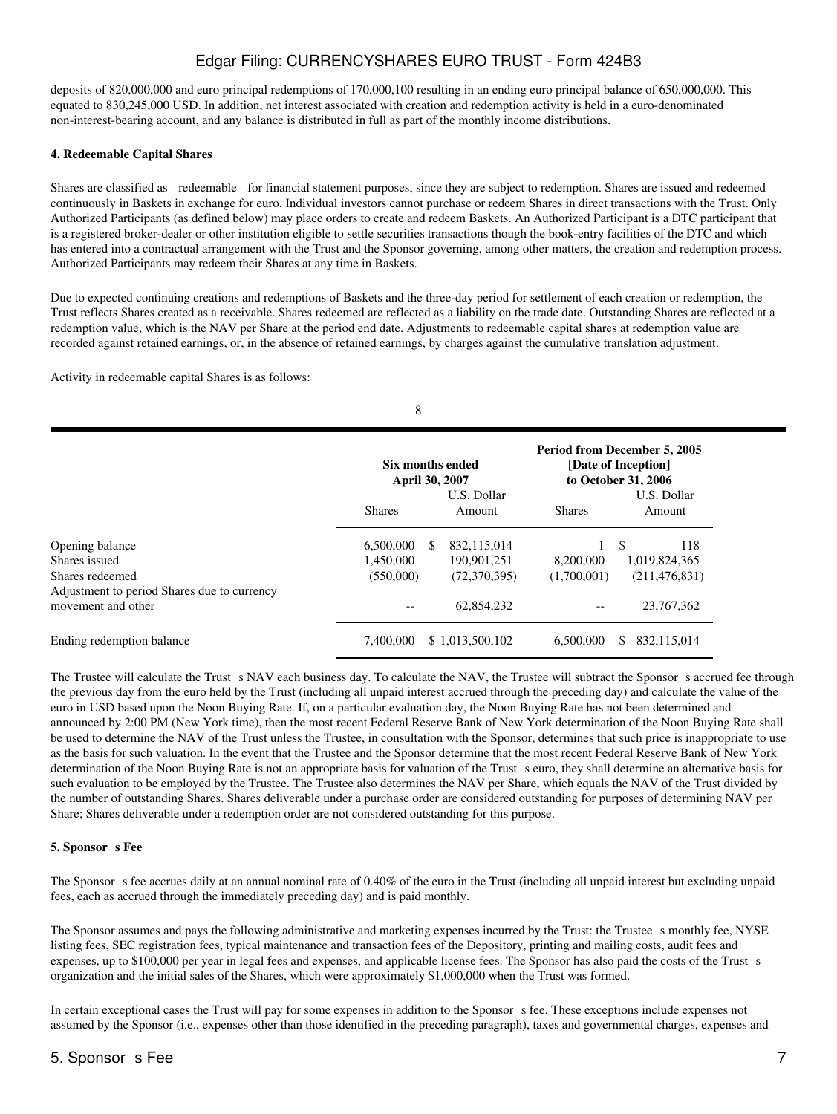deposits of 820,000,000 and euro principal redemptions of 170,000,100 resulting in an ending euro principal balance of 650,000,000. This equated to 830,245,000 USD. In addition, net interest associated with creation and redemption activity is held in a euro-denominated non-interest-bearing account, and any balance is distributed in full as part of the monthly income distributions.

#### **4. Redeemable Capital Shares**

Shares are classified as redeemable for financial statement purposes, since they are subject to redemption. Shares are issued and redeemed continuously in Baskets in exchange for euro. Individual investors cannot purchase or redeem Shares in direct transactions with the Trust. Only Authorized Participants (as defined below) may place orders to create and redeem Baskets. An Authorized Participant is a DTC participant that is a registered broker-dealer or other institution eligible to settle securities transactions though the book-entry facilities of the DTC and which has entered into a contractual arrangement with the Trust and the Sponsor governing, among other matters, the creation and redemption process. Authorized Participants may redeem their Shares at any time in Baskets.

Due to expected continuing creations and redemptions of Baskets and the three-day period for settlement of each creation or redemption, the Trust reflects Shares created as a receivable. Shares redeemed are reflected as a liability on the trade date. Outstanding Shares are reflected at a redemption value, which is the NAV per Share at the period end date. Adjustments to redeemable capital shares at redemption value are recorded against retained earnings, or, in the absence of retained earnings, by charges against the cumulative translation adjustment.

Activity in redeemable capital Shares is as follows:

|                                                                | <b>Shares</b> | <b>Six months ended</b><br>April 30, 2007<br>U.S. Dollar<br>Amount | <b>Shares</b> | Period from December 5, 2005<br>[Date of Inception]<br>to October 31, 2006<br>U.S. Dollar<br>Amount |
|----------------------------------------------------------------|---------------|--------------------------------------------------------------------|---------------|-----------------------------------------------------------------------------------------------------|
| Opening balance                                                | 6,500,000     | 832,115,014<br><b>S</b>                                            |               | \$<br>118                                                                                           |
| Shares issued                                                  | 1,450,000     | 190,901,251                                                        | 8,200,000     | 1,019,824,365                                                                                       |
| Shares redeemed<br>Adjustment to period Shares due to currency | (550,000)     | (72,370,395)                                                       | (1,700,001)   | (211, 476, 831)                                                                                     |
| movement and other                                             | $- -$         | 62,854,232                                                         |               | 23,767,362                                                                                          |
| Ending redemption balance                                      | 7,400,000     | \$1,013,500,102                                                    | 6.500,000     | 832,115,014<br>S.                                                                                   |

The Trustee will calculate the Trust s NAV each business day. To calculate the NAV, the Trustee will subtract the Sponsor s accrued fee through the previous day from the euro held by the Trust (including all unpaid interest accrued through the preceding day) and calculate the value of the euro in USD based upon the Noon Buying Rate. If, on a particular evaluation day, the Noon Buying Rate has not been determined and announced by 2:00 PM (New York time), then the most recent Federal Reserve Bank of New York determination of the Noon Buying Rate shall be used to determine the NAV of the Trust unless the Trustee, in consultation with the Sponsor, determines that such price is inappropriate to use as the basis for such valuation. In the event that the Trustee and the Sponsor determine that the most recent Federal Reserve Bank of New York determination of the Noon Buying Rate is not an appropriate basis for valuation of the Trust seuro, they shall determine an alternative basis for such evaluation to be employed by the Trustee. The Trustee also determines the NAV per Share, which equals the NAV of the Trust divided by the number of outstanding Shares. Shares deliverable under a purchase order are considered outstanding for purposes of determining NAV per Share; Shares deliverable under a redemption order are not considered outstanding for this purpose.

### **5. Sponsor s** Fee

The Sponsor s fee accrues daily at an annual nominal rate of 0.40% of the euro in the Trust (including all unpaid interest but excluding unpaid fees, each as accrued through the immediately preceding day) and is paid monthly.

The Sponsor assumes and pays the following administrative and marketing expenses incurred by the Trust: the Trustee s monthly fee, NYSE listing fees, SEC registration fees, typical maintenance and transaction fees of the Depository, printing and mailing costs, audit fees and expenses, up to \$100,000 per year in legal fees and expenses, and applicable license fees. The Sponsor has also paid the costs of the Trust s organization and the initial sales of the Shares, which were approximately \$1,000,000 when the Trust was formed.

In certain exceptional cases the Trust will pay for some expenses in addition to the Sponsor s fee. These exceptions include expenses not assumed by the Sponsor (i.e., expenses other than those identified in the preceding paragraph), taxes and governmental charges, expenses and

# 5. Sponsor s Fee 7 and 200 and 200 and 200 and 200 and 200 and 200 and 200 and 200 and 200 and 200 and 200 and 200 and 200 and 200 and 200 and 200 and 200 and 200 and 200 and 200 and 200 and 200 and 200 and 200 and 200 and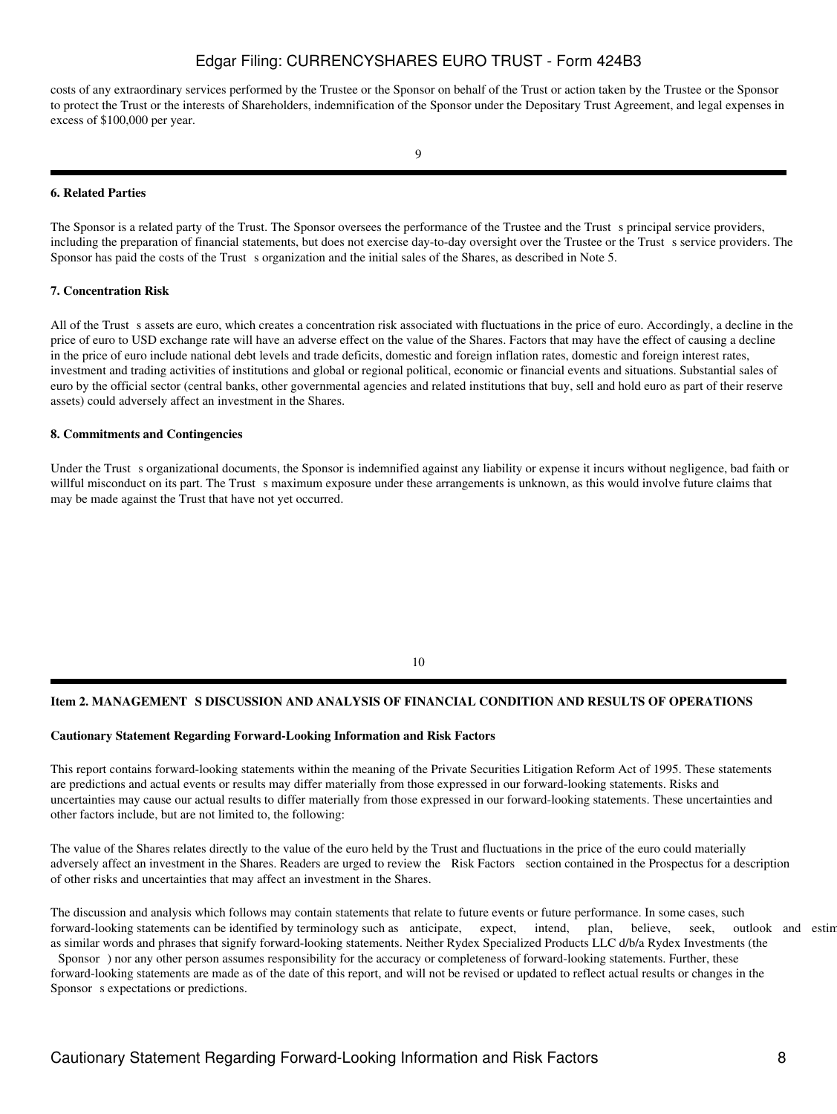costs of any extraordinary services performed by the Trustee or the Sponsor on behalf of the Trust or action taken by the Trustee or the Sponsor to protect the Trust or the interests of Shareholders, indemnification of the Sponsor under the Depositary Trust Agreement, and legal expenses in excess of \$100,000 per year.

#### **6. Related Parties**

The Sponsor is a related party of the Trust. The Sponsor oversees the performance of the Trustee and the Trust s principal service providers, including the preparation of financial statements, but does not exercise day-to-day oversight over the Trustee or the Trust s service providers. The Sponsor has paid the costs of the Trust s organization and the initial sales of the Shares, as described in Note 5.

#### **7. Concentration Risk**

All of the Trust s assets are euro, which creates a concentration risk associated with fluctuations in the price of euro. Accordingly, a decline in the price of euro to USD exchange rate will have an adverse effect on the value of the Shares. Factors that may have the effect of causing a decline in the price of euro include national debt levels and trade deficits, domestic and foreign inflation rates, domestic and foreign interest rates, investment and trading activities of institutions and global or regional political, economic or financial events and situations. Substantial sales of euro by the official sector (central banks, other governmental agencies and related institutions that buy, sell and hold euro as part of their reserve assets) could adversely affect an investment in the Shares.

#### **8. Commitments and Contingencies**

Under the Trust s organizational documents, the Sponsor is indemnified against any liability or expense it incurs without negligence, bad faith or willful misconduct on its part. The Trust s maximum exposure under these arrangements is unknown, as this would involve future claims that may be made against the Trust that have not yet occurred.

10

### Item 2. MANAGEMENT S DISCUSSION AND ANALYSIS OF FINANCIAL CONDITION AND RESULTS OF OPERATIONS

### **Cautionary Statement Regarding Forward-Looking Information and Risk Factors**

This report contains forward-looking statements within the meaning of the Private Securities Litigation Reform Act of 1995. These statements are predictions and actual events or results may differ materially from those expressed in our forward-looking statements. Risks and uncertainties may cause our actual results to differ materially from those expressed in our forward-looking statements. These uncertainties and other factors include, but are not limited to, the following:

The value of the Shares relates directly to the value of the euro held by the Trust and fluctuations in the price of the euro could materially adversely affect an investment in the Shares. Readers are urged to review the Risk Factors section contained in the Prospectus for a description of other risks and uncertainties that may affect an investment in the Shares.

The discussion and analysis which follows may contain statements that relate to future events or future performance. In some cases, such forward-looking statements can be identified by terminology such as anticipate, expect, intend, plan, believe, seek, outlook and estin as similar words and phrases that signify forward-looking statements. Neither Rydex Specialized Products LLC d/b/a Rydex Investments (the

Sponsor) nor any other person assumes responsibility for the accuracy or completeness of forward-looking statements. Further, these forward-looking statements are made as of the date of this report, and will not be revised or updated to reflect actual results or changes in the Sponsor s expectations or predictions.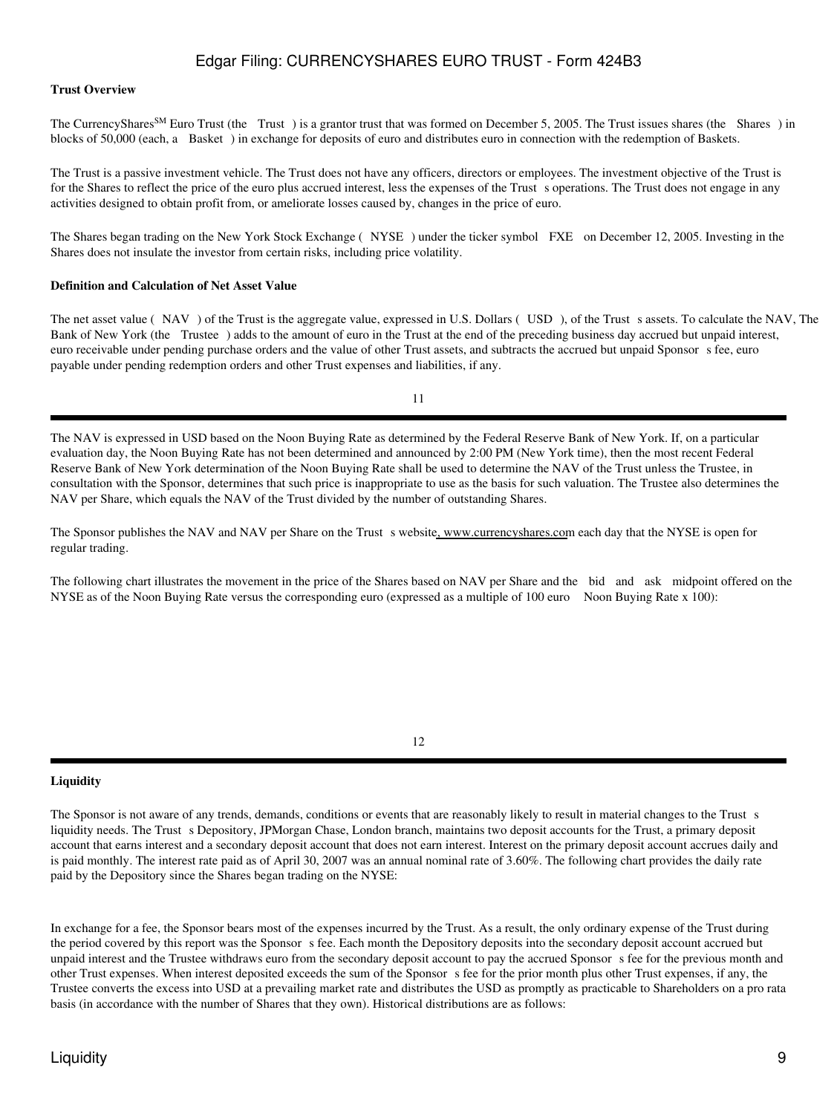#### **Trust Overview**

The CurrencyShares<sup>SM</sup> Euro Trust (the Trust) is a grantor trust that was formed on December 5, 2005. The Trust issues shares (the Shares) in blocks of 50,000 (each, a Basket) in exchange for deposits of euro and distributes euro in connection with the redemption of Baskets.

The Trust is a passive investment vehicle. The Trust does not have any officers, directors or employees. The investment objective of the Trust is for the Shares to reflect the price of the euro plus accrued interest, less the expenses of the Trust s operations. The Trust does not engage in any activities designed to obtain profit from, or ameliorate losses caused by, changes in the price of euro.

The Shares began trading on the New York Stock Exchange (NYSE) under the ticker symbol FXE on December 12, 2005. Investing in the Shares does not insulate the investor from certain risks, including price volatility.

#### **Definition and Calculation of Net Asset Value**

The net asset value (NAV) of the Trust is the aggregate value, expressed in U.S. Dollars (USD), of the Trust s assets. To calculate the NAV, The Bank of New York (the Trustee) adds to the amount of euro in the Trust at the end of the preceding business day accrued but unpaid interest, euro receivable under pending purchase orders and the value of other Trust assets, and subtracts the accrued but unpaid Sponsor s fee, euro payable under pending redemption orders and other Trust expenses and liabilities, if any.

11

The NAV is expressed in USD based on the Noon Buying Rate as determined by the Federal Reserve Bank of New York. If, on a particular evaluation day, the Noon Buying Rate has not been determined and announced by 2:00 PM (New York time), then the most recent Federal Reserve Bank of New York determination of the Noon Buying Rate shall be used to determine the NAV of the Trust unless the Trustee, in consultation with the Sponsor, determines that such price is inappropriate to use as the basis for such valuation. The Trustee also determines the NAV per Share, which equals the NAV of the Trust divided by the number of outstanding Shares.

The Sponsor publishes the NAV and NAV per Share on the Trust s website, www.currencyshares.com each day that the NYSE is open for regular trading.

The following chart illustrates the movement in the price of the Shares based on NAV per Share and the bid and ask midpoint offered on the NYSE as of the Noon Buying Rate versus the corresponding euro (expressed as a multiple of 100 euro Noon Buying Rate x 100):

12

#### **Liquidity**

The Sponsor is not aware of any trends, demands, conditions or events that are reasonably likely to result in material changes to the Trust s liquidity needs. The Trust s Depository, JPMorgan Chase, London branch, maintains two deposit accounts for the Trust, a primary deposit account that earns interest and a secondary deposit account that does not earn interest. Interest on the primary deposit account accrues daily and is paid monthly. The interest rate paid as of April 30, 2007 was an annual nominal rate of 3.60%. The following chart provides the daily rate paid by the Depository since the Shares began trading on the NYSE:

In exchange for a fee, the Sponsor bears most of the expenses incurred by the Trust. As a result, the only ordinary expense of the Trust during the period covered by this report was the Sponsor s fee. Each month the Depository deposits into the secondary deposit account accrued but unpaid interest and the Trustee withdraws euro from the secondary deposit account to pay the accrued Sponsor s fee for the previous month and other Trust expenses. When interest deposited exceeds the sum of the Sponsors fee for the prior month plus other Trust expenses, if any, the Trustee converts the excess into USD at a prevailing market rate and distributes the USD as promptly as practicable to Shareholders on a pro rata basis (in accordance with the number of Shares that they own). Historical distributions are as follows:

# Liquidity 9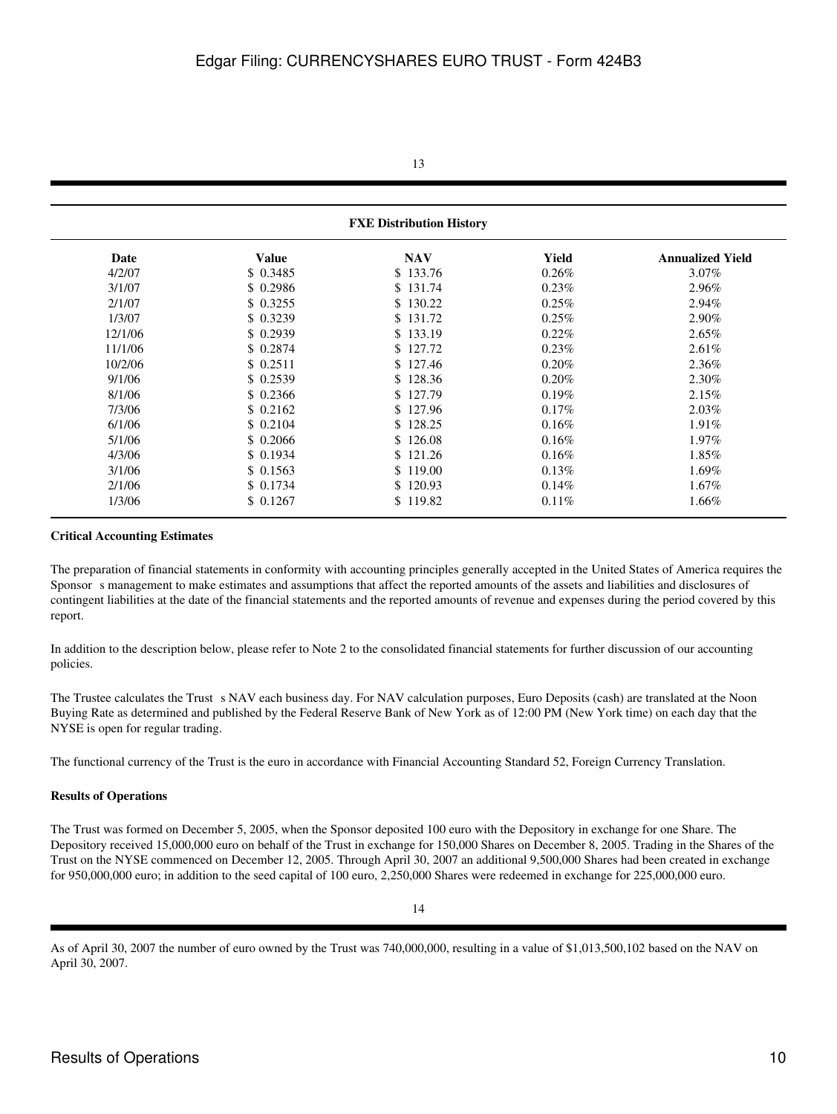### 13

# **FXE Distribution History**

| <b>Value</b> | <b>NAV</b> | Yield    | <b>Annualized Yield</b> |
|--------------|------------|----------|-------------------------|
| \$0.3485     | \$133.76   | $0.26\%$ | $3.07\%$                |
| \$0.2986     | \$131.74   | $0.23\%$ | 2.96%                   |
| \$0.3255     | \$130.22   | $0.25\%$ | 2.94%                   |
| \$0.3239     | \$131.72   | 0.25%    | 2.90%                   |
| \$0.2939     | \$133.19   | $0.22\%$ | $2.65\%$                |
| \$0.2874     | \$127.72   | 0.23%    | $2.61\%$                |
| \$0.2511     | \$127.46   | 0.20%    | 2.36%                   |
| \$0.2539     | \$128.36   | 0.20%    | 2.30%                   |
| \$0.2366     | \$127.79   | 0.19%    | 2.15%                   |
| \$0.2162     | \$127.96   | 0.17%    | $2.03\%$                |
| \$0.2104     | \$128.25   | 0.16%    | $1.91\%$                |
| \$0.2066     | \$126.08   | 0.16%    | $1.97\%$                |
| \$0.1934     | \$121.26   | 0.16%    | $1.85\%$                |
| \$0.1563     | \$119.00   | 0.13%    | $1.69\%$                |
| \$0.1734     | \$120.93   | 0.14%    | $1.67\%$                |
| \$0.1267     | \$119.82   | 0.11%    | $1.66\%$                |
|              |            |          |                         |

#### **Critical Accounting Estimates**

The preparation of financial statements in conformity with accounting principles generally accepted in the United States of America requires the Sponsor s management to make estimates and assumptions that affect the reported amounts of the assets and liabilities and disclosures of contingent liabilities at the date of the financial statements and the reported amounts of revenue and expenses during the period covered by this report.

In addition to the description below, please refer to Note 2 to the consolidated financial statements for further discussion of our accounting policies.

The Trustee calculates the Trust s NAV each business day. For NAV calculation purposes, Euro Deposits (cash) are translated at the Noon Buying Rate as determined and published by the Federal Reserve Bank of New York as of 12:00 PM (New York time) on each day that the NYSE is open for regular trading.

The functional currency of the Trust is the euro in accordance with Financial Accounting Standard 52, Foreign Currency Translation.

### **Results of Operations**

The Trust was formed on December 5, 2005, when the Sponsor deposited 100 euro with the Depository in exchange for one Share. The Depository received 15,000,000 euro on behalf of the Trust in exchange for 150,000 Shares on December 8, 2005. Trading in the Shares of the Trust on the NYSE commenced on December 12, 2005. Through April 30, 2007 an additional 9,500,000 Shares had been created in exchange for 950,000,000 euro; in addition to the seed capital of 100 euro, 2,250,000 Shares were redeemed in exchange for 225,000,000 euro.

As of April 30, 2007 the number of euro owned by the Trust was 740,000,000, resulting in a value of \$1,013,500,102 based on the NAV on April 30, 2007.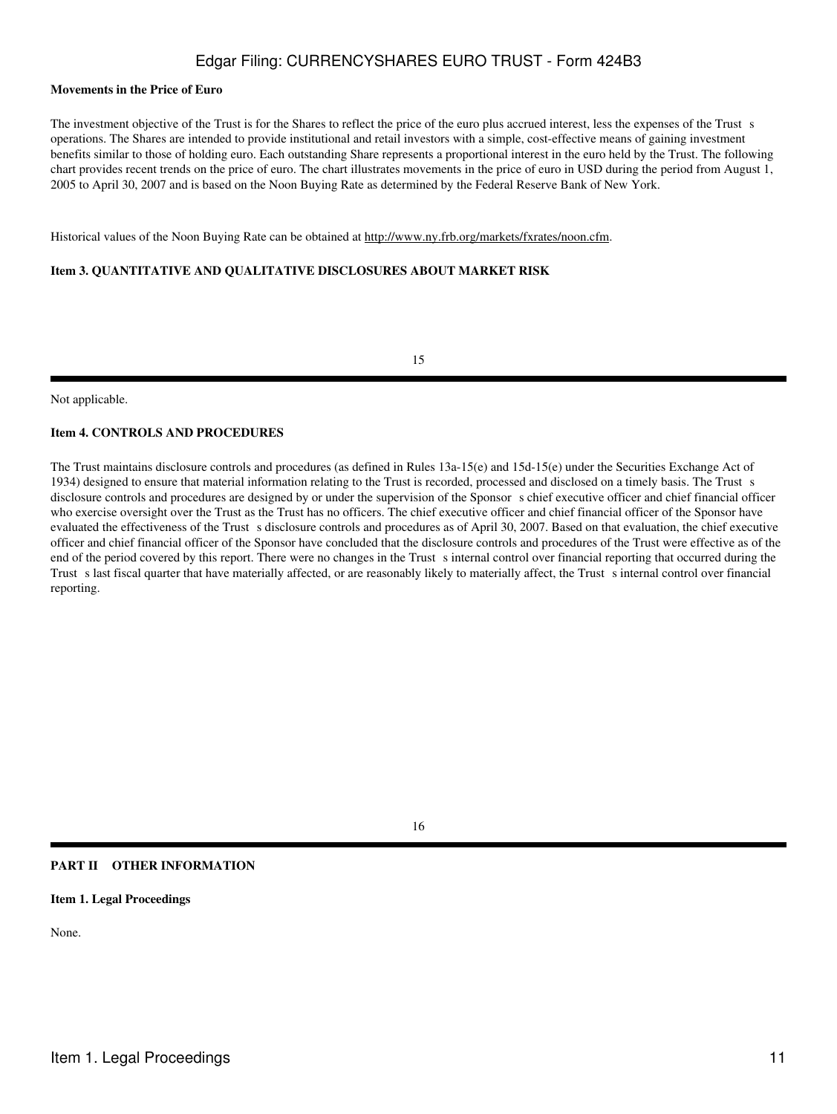#### **Movements in the Price of Euro**

The investment objective of the Trust is for the Shares to reflect the price of the euro plus accrued interest, less the expenses of the Trust s operations. The Shares are intended to provide institutional and retail investors with a simple, cost-effective means of gaining investment benefits similar to those of holding euro. Each outstanding Share represents a proportional interest in the euro held by the Trust. The following chart provides recent trends on the price of euro. The chart illustrates movements in the price of euro in USD during the period from August 1, 2005 to April 30, 2007 and is based on the Noon Buying Rate as determined by the Federal Reserve Bank of New York.

Historical values of the Noon Buying Rate can be obtained at http://www.ny.frb.org/markets/fxrates/noon.cfm.

### **Item 3. QUANTITATIVE AND QUALITATIVE DISCLOSURES ABOUT MARKET RISK**

15

Not applicable.

### **Item 4. CONTROLS AND PROCEDURES**

The Trust maintains disclosure controls and procedures (as defined in Rules 13a-15(e) and 15d-15(e) under the Securities Exchange Act of 1934) designed to ensure that material information relating to the Trust is recorded, processed and disclosed on a timely basis. The Trust s disclosure controls and procedures are designed by or under the supervision of the Sponsor s chief executive officer and chief financial officer who exercise oversight over the Trust as the Trust has no officers. The chief executive officer and chief financial officer of the Sponsor have evaluated the effectiveness of the Trust s disclosure controls and procedures as of April 30, 2007. Based on that evaluation, the chief executive officer and chief financial officer of the Sponsor have concluded that the disclosure controls and procedures of the Trust were effective as of the end of the period covered by this report. There were no changes in the Trust s internal control over financial reporting that occurred during the Trust s last fiscal quarter that have materially affected, or are reasonably likely to materially affect, the Trust s internal control over financial reporting.

#### 16

### **PART II OTHER INFORMATION**

**Item 1. Legal Proceedings**

None.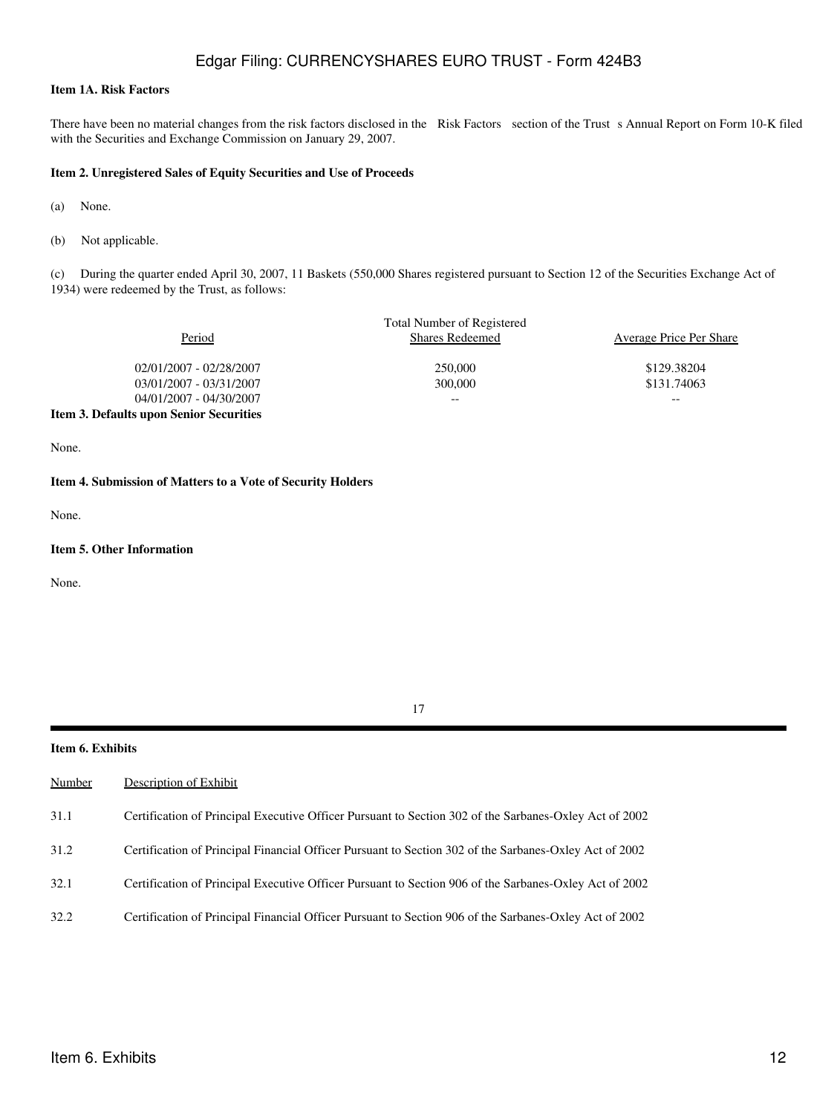### **Item 1A. Risk Factors**

There have been no material changes from the risk factors disclosed in the Risk Factors section of the Trust s Annual Report on Form 10-K filed with the Securities and Exchange Commission on January 29, 2007.

#### **Item 2. Unregistered Sales of Equity Securities and Use of Proceeds**

(a) None.

(b) Not applicable.

(c) During the quarter ended April 30, 2007, 11 Baskets (550,000 Shares registered pursuant to Section 12 of the Securities Exchange Act of 1934) were redeemed by the Trust, as follows:

|                                         | <b>Total Number of Registered</b> |                                |
|-----------------------------------------|-----------------------------------|--------------------------------|
| Period                                  | <b>Shares Redeemed</b>            | <b>Average Price Per Share</b> |
| 02/01/2007 - 02/28/2007                 | 250,000                           | \$129.38204                    |
| 03/01/2007 - 03/31/2007                 | 300,000                           | \$131.74063                    |
| 04/01/2007 - 04/30/2007                 | --                                | $- -$                          |
| Item 3. Defaults upon Senior Securities |                                   |                                |

None.

#### **Item 4. Submission of Matters to a Vote of Security Holders**

None.

#### **Item 5. Other Information**

None.

**Item 6. Exhibits**

| Number | Description of Exhibit                                                                                 |
|--------|--------------------------------------------------------------------------------------------------------|
| 31.1   | Certification of Principal Executive Officer Pursuant to Section 302 of the Sarbanes-Oxley Act of 2002 |
| 31.2   | Certification of Principal Financial Officer Pursuant to Section 302 of the Sarbanes-Oxley Act of 2002 |
| 32.1   | Certification of Principal Executive Officer Pursuant to Section 906 of the Sarbanes-Oxley Act of 2002 |
| 32.2   | Certification of Principal Financial Officer Pursuant to Section 906 of the Sarbanes-Oxley Act of 2002 |
|        |                                                                                                        |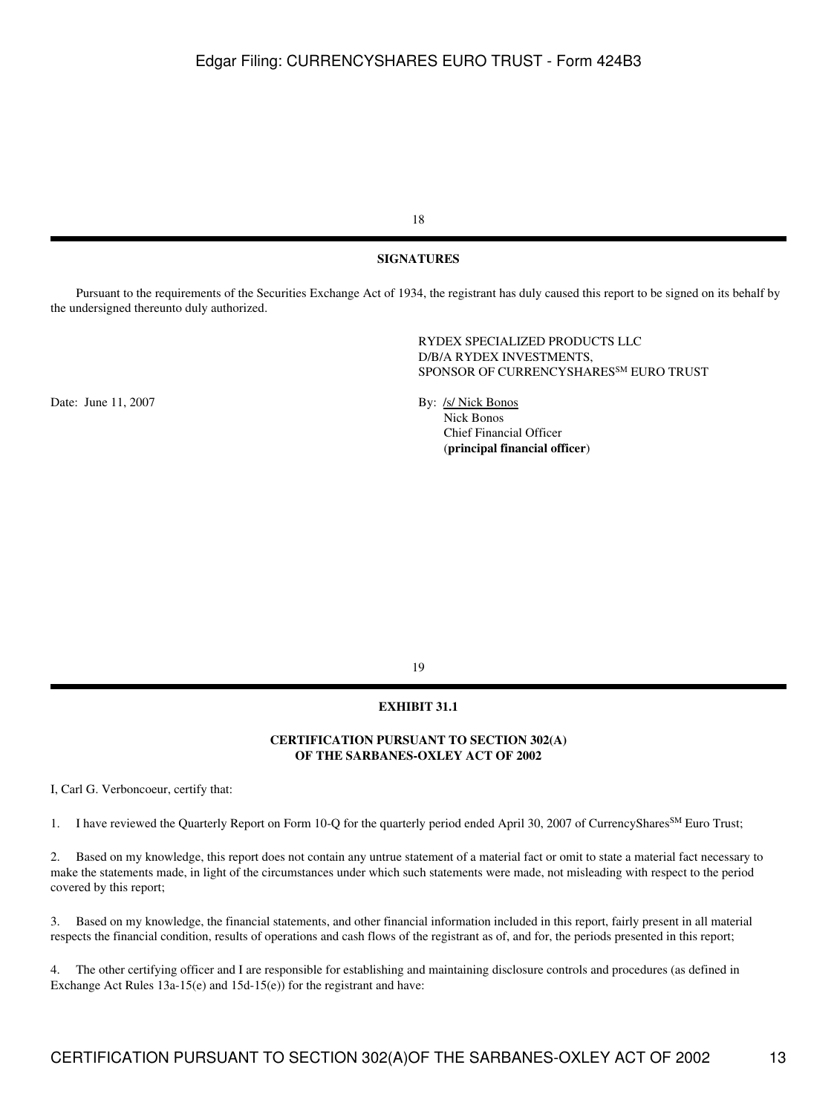18

#### **SIGNATURES**

 Pursuant to the requirements of the Securities Exchange Act of 1934, the registrant has duly caused this report to be signed on its behalf by the undersigned thereunto duly authorized.

> RYDEX SPECIALIZED PRODUCTS LLC D/B/A RYDEX INVESTMENTS, SPONSOR OF CURRENCYSHARES<sup>SM</sup> EURO TRUST

Date: June 11, 2007 By: /s/ Nick Bonos

 Nick Bonos Chief Financial Officer (**principal financial officer**)

19

#### **EXHIBIT 31.1**

### **CERTIFICATION PURSUANT TO SECTION 302(A) OF THE SARBANES-OXLEY ACT OF 2002**

I, Carl G. Verboncoeur, certify that:

1. I have reviewed the Quarterly Report on Form 10-Q for the quarterly period ended April 30, 2007 of CurrencyShares<sup>SM</sup> Euro Trust;

2. Based on my knowledge, this report does not contain any untrue statement of a material fact or omit to state a material fact necessary to make the statements made, in light of the circumstances under which such statements were made, not misleading with respect to the period covered by this report;

3. Based on my knowledge, the financial statements, and other financial information included in this report, fairly present in all material respects the financial condition, results of operations and cash flows of the registrant as of, and for, the periods presented in this report;

4. The other certifying officer and I are responsible for establishing and maintaining disclosure controls and procedures (as defined in Exchange Act Rules 13a-15(e) and 15d-15(e)) for the registrant and have: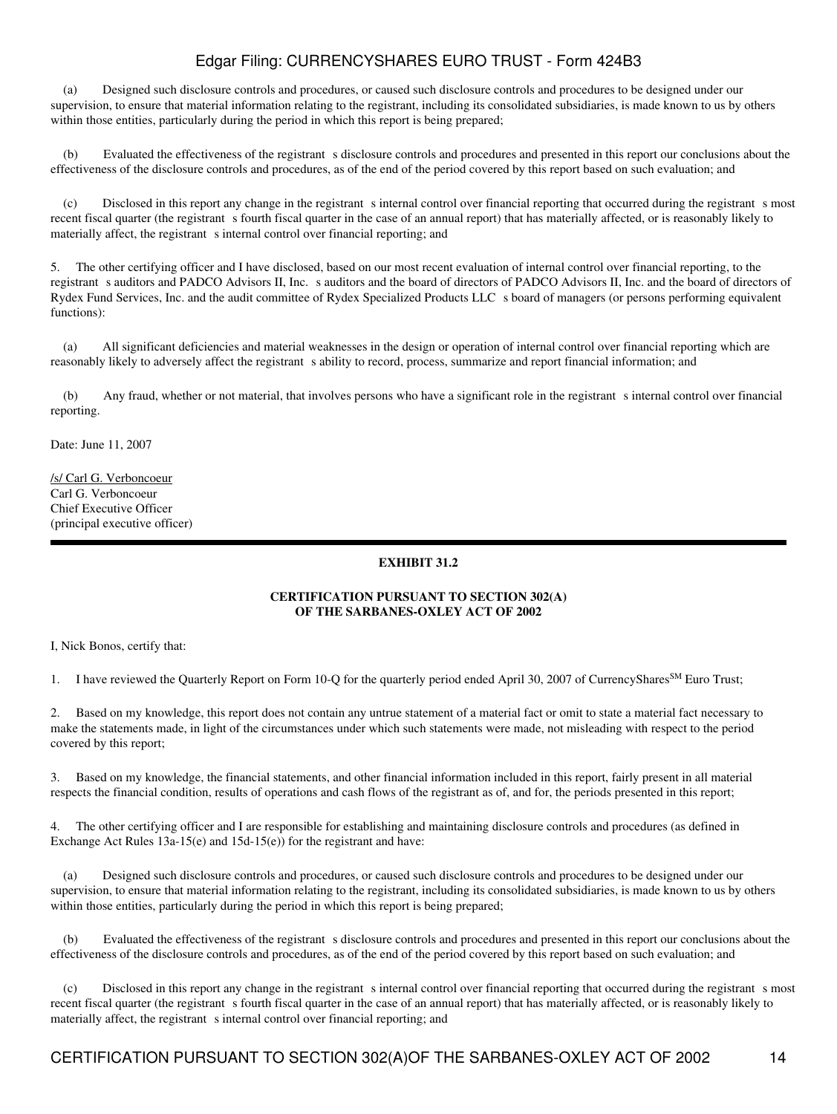(a) Designed such disclosure controls and procedures, or caused such disclosure controls and procedures to be designed under our supervision, to ensure that material information relating to the registrant, including its consolidated subsidiaries, is made known to us by others within those entities, particularly during the period in which this report is being prepared;

(b) Evaluated the effectiveness of the registrant s disclosure controls and procedures and presented in this report our conclusions about the effectiveness of the disclosure controls and procedures, as of the end of the period covered by this report based on such evaluation; and

(c) Disclosed in this report any change in the registrant sinternal control over financial reporting that occurred during the registrant smost recent fiscal quarter (the registrant s fourth fiscal quarter in the case of an annual report) that has materially affected, or is reasonably likely to materially affect, the registrant s internal control over financial reporting; and

5. The other certifying officer and I have disclosed, based on our most recent evaluation of internal control over financial reporting, to the registrant s auditors and PADCO Advisors II, Inc. s auditors and the board of directors of PADCO Advisors II, Inc. and the board of directors of Rydex Fund Services, Inc. and the audit committee of Rydex Specialized Products LLC s board of managers (or persons performing equivalent functions):

 (a) All significant deficiencies and material weaknesses in the design or operation of internal control over financial reporting which are reasonably likely to adversely affect the registrant s ability to record, process, summarize and report financial information; and

(b) Any fraud, whether or not material, that involves persons who have a significant role in the registrant sinternal control over financial reporting.

Date: June 11, 2007

/s/ Carl G. Verboncoeur Carl G. Verboncoeur Chief Executive Officer (principal executive officer)

## **EXHIBIT 31.2**

#### **CERTIFICATION PURSUANT TO SECTION 302(A) OF THE SARBANES-OXLEY ACT OF 2002**

I, Nick Bonos, certify that:

1. I have reviewed the Quarterly Report on Form 10-Q for the quarterly period ended April 30, 2007 of CurrencyShares<sup>SM</sup> Euro Trust;

2. Based on my knowledge, this report does not contain any untrue statement of a material fact or omit to state a material fact necessary to make the statements made, in light of the circumstances under which such statements were made, not misleading with respect to the period covered by this report;

3. Based on my knowledge, the financial statements, and other financial information included in this report, fairly present in all material respects the financial condition, results of operations and cash flows of the registrant as of, and for, the periods presented in this report;

4. The other certifying officer and I are responsible for establishing and maintaining disclosure controls and procedures (as defined in Exchange Act Rules 13a-15(e) and 15d-15(e)) for the registrant and have:

 (a) Designed such disclosure controls and procedures, or caused such disclosure controls and procedures to be designed under our supervision, to ensure that material information relating to the registrant, including its consolidated subsidiaries, is made known to us by others within those entities, particularly during the period in which this report is being prepared;

Evaluated the effectiveness of the registrant s disclosure controls and procedures and presented in this report our conclusions about the effectiveness of the disclosure controls and procedures, as of the end of the period covered by this report based on such evaluation; and

(c) Disclosed in this report any change in the registrant s internal control over financial reporting that occurred during the registrant s most recent fiscal quarter (the registrant s fourth fiscal quarter in the case of an annual report) that has materially affected, or is reasonably likely to materially affect, the registrant s internal control over financial reporting; and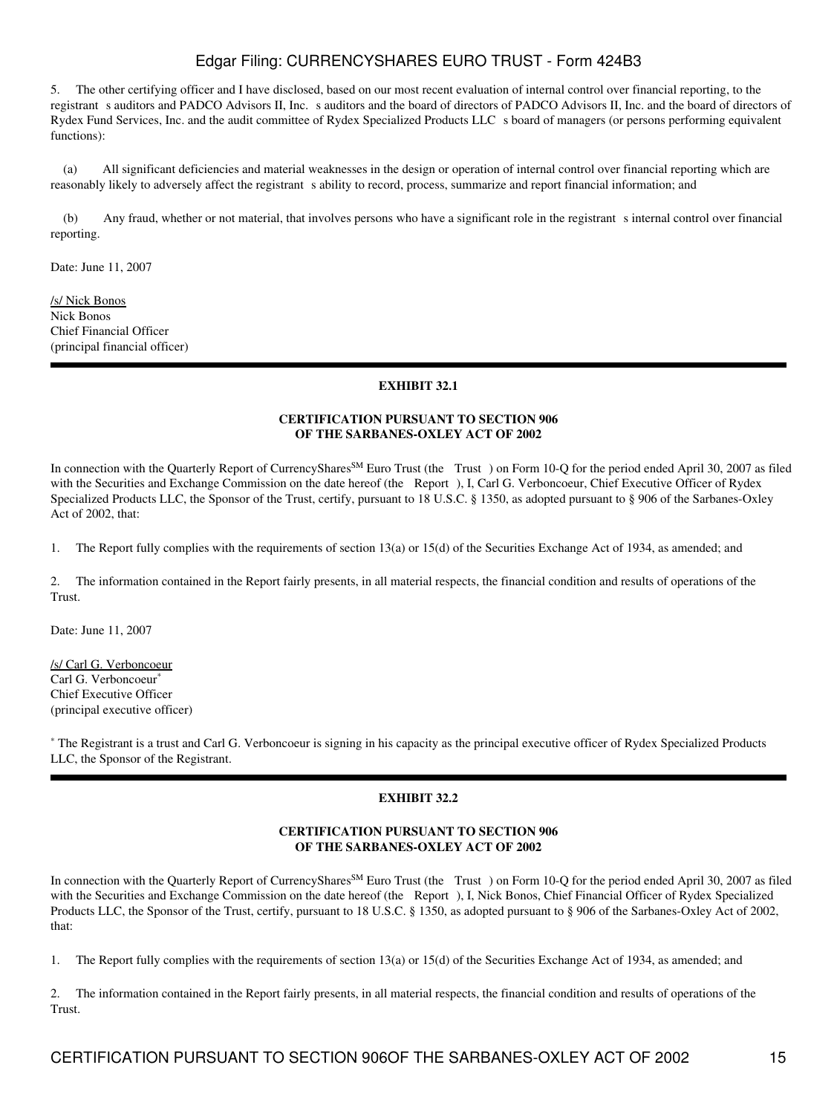5. The other certifying officer and I have disclosed, based on our most recent evaluation of internal control over financial reporting, to the registrant s auditors and PADCO Advisors II, Inc. s auditors and the board of directors of PADCO Advisors II, Inc. and the board of directors of Rydex Fund Services, Inc. and the audit committee of Rydex Specialized Products LLC s board of managers (or persons performing equivalent functions):

 (a) All significant deficiencies and material weaknesses in the design or operation of internal control over financial reporting which are reasonably likely to adversely affect the registrant s ability to record, process, summarize and report financial information; and

(b) Any fraud, whether or not material, that involves persons who have a significant role in the registrant sinternal control over financial reporting.

Date: June 11, 2007

/s/ Nick Bonos Nick Bonos Chief Financial Officer (principal financial officer)

## **EXHIBIT 32.1**

### **CERTIFICATION PURSUANT TO SECTION 906 OF THE SARBANES-OXLEY ACT OF 2002**

In connection with the Quarterly Report of CurrencyShares<sup>SM</sup> Euro Trust (the Trust) on Form 10-Q for the period ended April 30, 2007 as filed with the Securities and Exchange Commission on the date hereof (the Report), I, Carl G. Verboncoeur, Chief Executive Officer of Rydex Specialized Products LLC, the Sponsor of the Trust, certify, pursuant to 18 U.S.C. § 1350, as adopted pursuant to § 906 of the Sarbanes-Oxley Act of 2002, that:

1. The Report fully complies with the requirements of section 13(a) or 15(d) of the Securities Exchange Act of 1934, as amended; and

2. The information contained in the Report fairly presents, in all material respects, the financial condition and results of operations of the Trust.

Date: June 11, 2007

/s/ Carl G. Verboncoeur Carl G. Verboncoeur<sup>\*</sup> Chief Executive Officer (principal executive officer)

\* The Registrant is a trust and Carl G. Verboncoeur is signing in his capacity as the principal executive officer of Rydex Specialized Products LLC, the Sponsor of the Registrant.

## **EXHIBIT 32.2**

### **CERTIFICATION PURSUANT TO SECTION 906 OF THE SARBANES-OXLEY ACT OF 2002**

In connection with the Quarterly Report of CurrencyShares<sup>SM</sup> Euro Trust (the Trust) on Form 10-Q for the period ended April 30, 2007 as filed with the Securities and Exchange Commission on the date hereof (the Report), I, Nick Bonos, Chief Financial Officer of Rydex Specialized Products LLC, the Sponsor of the Trust, certify, pursuant to 18 U.S.C. § 1350, as adopted pursuant to § 906 of the Sarbanes-Oxley Act of 2002, that:

1. The Report fully complies with the requirements of section 13(a) or 15(d) of the Securities Exchange Act of 1934, as amended; and

2. The information contained in the Report fairly presents, in all material respects, the financial condition and results of operations of the Trust.